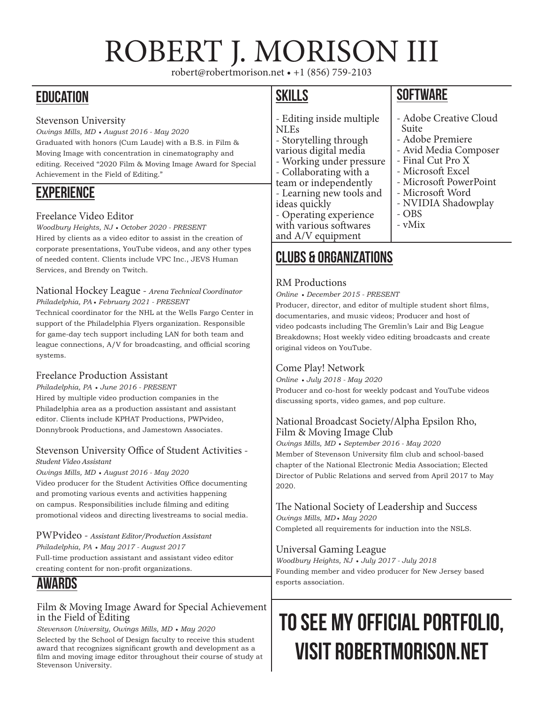# ROBERT J. MORISON III

robert@robertmorison.net • +1 (856) 759-2103

### **EDUCATION**

### Stevenson University

*Owings Mills, MD* • *August 2016 - May 2020* Graduated with honors (Cum Laude) with a B.S. in Film & Moving Image with concentration in cinematography and editing. Received "2020 Film & Moving Image Award for Special Achievement in the Field of Editing."

### **EXPERIENCE**

### Freelance Video Editor

*Woodbury Heights, NJ* • *October 2020 - PRESENT* Hired by clients as a video editor to assist in the creation of corporate presentations, YouTube videos, and any other types of needed content. Clients include VPC Inc., JEVS Human Services, and Brendy on Twitch.

#### National Hockey League - *Arena Technical Coordinator Philadelphia, PA* • *February 2021 - PRESENT*

Technical coordinator for the NHL at the Wells Fargo Center in support of the Philadelphia Flyers organization. Responsible for game-day tech support including LAN for both team and league connections, A/V for broadcasting, and official scoring systems.

### Freelance Production Assistant

*Philadelphia, PA* • *June 2016 - PRESENT* Hired by multiple video production companies in the Philadelphia area as a production assistant and assistant editor. Clients include KPHAT Productions, PWPvideo, Donnybrook Productions, and Jamestown Associates.

### Stevenson University Office of Student Activities -

### *Student Video Assistant*

*Owings Mills, MD* • *August 2016 - May 2020* Video producer for the Student Activities Office documenting and promoting various events and activities happening on campus. Responsibilities include filming and editing promotional videos and directing livestreams to social media.

### PWPvideo - *Assistant Editor/Production Assistant Philadelphia, PA* • *May 2017 - August 2017* Full-time production assistant and assistant video editor creating content for non-profit organizations.

### AWARDS

### Film & Moving Image Award for Special Achievement in the Field of Editing

*Stevenson University, Owings Mills, MD* • *May 2020*

Selected by the School of Design faculty to receive this student award that recognizes significant growth and development as a film and moving image editor throughout their course of study at Stevenson University.

### SKILLS

- Editing inside multiple NLEs
- Storytelling through various digital media
- Working under pressure
- Collaborating with a
- team or independently - Learning new tools and ideas quickly
- Operating experience
- with various softwares and A/V equipment

### Clubs & organizations

### RM Productions

*Online* • *December 2015 - PRESENT*

Producer, director, and editor of multiple student short films, documentaries, and music videos; Producer and host of video podcasts including The Gremlin's Lair and Big League Breakdowns; Host weekly video editing broadcasts and create original videos on YouTube.

### Come Play! Network

*Online* • *July 2018 - May 2020*

Producer and co-host for weekly podcast and YouTube videos discussing sports, video games, and pop culture.

### National Broadcast Society/Alpha Epsilon Rho, Film & Moving Image Club

*Owings Mills, MD* • *September 2016 - May 2020* Member of Stevenson University film club and school-based chapter of the National Electronic Media Association; Elected Director of Public Relations and served from April 2017 to May 2020.

### The National Society of Leadership and Success *Owings Mills, MD* • *May 2020*

Completed all requirements for induction into the NSLS.

### Universal Gaming League

*Woodbury Heights, NJ* • *July 2017 - July 2018* Founding member and video producer for New Jersey based esports association.

## TO SEE MY OFFICIAL PORTFOLIO, VISIT ROBERTMORISON.NET

### **SOFTWARE**

- Adobe Creative Cloud Suite - Adobe Premiere - Avid Media Composer - Final Cut Pro X - Microsoft Excel - Microsoft PowerPoint - Microsoft Word - NVIDIA Shadowplay - OBS - vMix